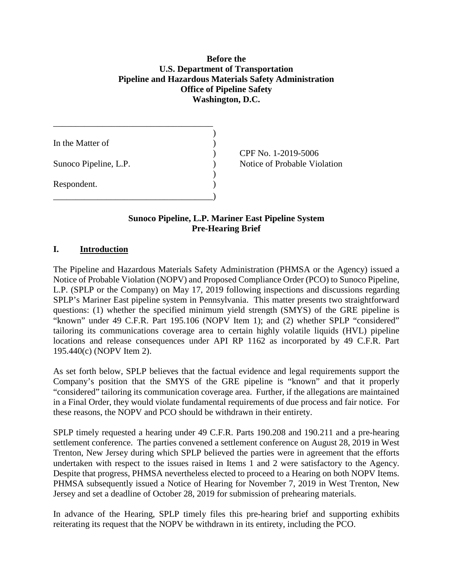# **Before the U.S. Department of Transportation** Before the<br>U.S. Department of Transportation<br>Pipeline and Hazardous Materials Safety Administration<br>Office of Pipeline Safety **Washington, D.C.**

| In the Matter of      |  |
|-----------------------|--|
| Sunoco Pipeline, L.P. |  |
| Respondent.           |  |
|                       |  |

) CPF No. 1-2019-5006 Notice of Probable Violation

# **Sunoco Pipeline, L.P. Mariner East Pipeline System Pre-Hearing Brief**

#### **I. Introduction**

 The Pipeline and Hazardous Materials Safety Administration (PHMSA or the Agency) issued a Notice of Probable Violation (NOPV) and Proposed Compliance Order (PCO) to Sunoco Pipeline, L.P. (SPLP or the Company) on May 17, 2019 following inspections and discussions regarding SPLP's Mariner East pipeline system in Pennsylvania. This matter presents two straightforward questions: (1) whether the specified minimum yield strength (SMYS) of the GRE pipeline is "known" under 49 C.F.R. Part 195.106 (NOPV Item 1); and (2) whether SPLP "considered" tailoring its communications coverage area to certain highly volatile liquids (HVL) pipeline locations and release consequences under API RP 1162 as incorporated by 49 C.F.R. Part 195.440(c) (NOPV Item 2).

 As set forth below, SPLP believes that the factual evidence and legal requirements support the Company's position that the SMYS of the GRE pipeline is "known" and that it properly "considered" tailoring its communication coverage area. Further, if the allegations are maintained in a Final Order, they would violate fundamental requirements of due process and fair notice. For these reasons, the NOPV and PCO should be withdrawn in their entirety.

 SPLP timely requested a hearing under 49 C.F.R. Parts 190.208 and 190.211 and a pre-hearing settlement conference. The parties convened a settlement conference on August 28, 2019 in West Trenton, New Jersey during which SPLP believed the parties were in agreement that the efforts undertaken with respect to the issues raised in Items 1 and 2 were satisfactory to the Agency. Despite that progress, PHMSA nevertheless elected to proceed to a Hearing on both NOPV Items. PHMSA subsequently issued a Notice of Hearing for November 7, 2019 in West Trenton, New Jersey and set a deadline of October 28, 2019 for submission of prehearing materials.

 In advance of the Hearing, SPLP timely files this pre-hearing brief and supporting exhibits reiterating its request that the NOPV be withdrawn in its entirety, including the PCO.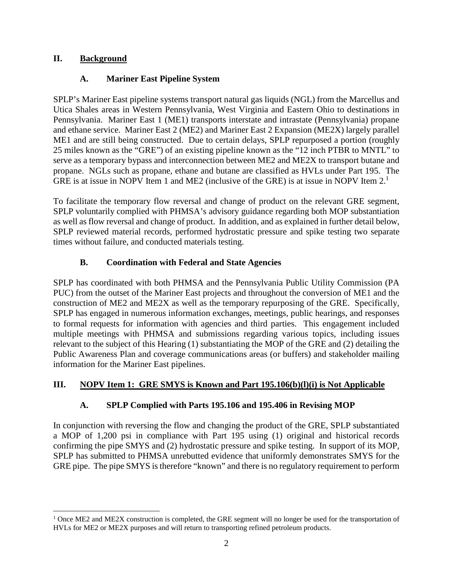### **II. Background**

# **A. Mariner East Pipeline System**

 SPLP's Mariner East pipeline systems transport natural gas liquids (NGL) from the Marcellus and Utica Shales areas in Western Pennsylvania, West Virginia and Eastern Ohio to destinations in Pennsylvania. Mariner East 1 (ME1) transports interstate and intrastate (Pennsylvania) propane and ethane service. Mariner East 2 (ME2) and Mariner East 2 Expansion (ME2X) largely parallel ME1 and are still being constructed. Due to certain delays, SPLP repurposed a portion (roughly 25 miles known as the "GRE") of an existing pipeline known as the "12 inch PTBR to MNTL" to serve as a temporary bypass and interconnection between ME2 and ME2X to transport butane and propane. NGLs such as propane, ethane and butane are classified as HVLs under Part 195. The GRE is at issue in NOPV Item 1 and ME2 (inclusive of the GRE) is at issue in NOPV Item 2.<sup>1</sup>

 To facilitate the temporary flow reversal and change of product on the relevant GRE segment, SPLP voluntarily complied with PHMSA's advisory guidance regarding both MOP substantiation as well as flow reversal and change of product. In addition, and as explained in further detail below, SPLP reviewed material records, performed hydrostatic pressure and spike testing two separate times without failure, and conducted materials testing.

# **B. Coordination with Federal and State Agencies**

 SPLP has coordinated with both PHMSA and the Pennsylvania Public Utility Commission (PA construction of ME2 and ME2X as well as the temporary repurposing of the GRE. Specifically, SPLP has engaged in numerous information exchanges, meetings, public hearings, and responses to formal requests for information with agencies and third parties. This engagement included multiple meetings with PHMSA and submissions regarding various topics, including issues relevant to the subject of this Hearing (1) substantiating the MOP of the GRE and (2) detailing the Public Awareness Plan and coverage communications areas (or buffers) and stakeholder mailing PUC) from the outset of the Mariner East projects and throughout the conversion of ME1 and the information for the Mariner East pipelines.

### **III. NOPV Item 1: GRE SMYS is Known and Part 195.106(b)(l)(i) is Not Applicable**

# **A. SPLP Complied with Parts 195.106 and 195.406 in Revising MOP**

 In conjunction with reversing the flow and changing the product of the GRE, SPLP substantiated a MOP of 1,200 psi in compliance with Part 195 using (1) original and historical records SPLP has submitted to PHMSA unrebutted evidence that uniformly demonstrates SMYS for the GRE pipe. The pipe SMYS is therefore "known" and there is no regulatory requirement to perform confirming the pipe SMYS and (2) hydrostatic pressure and spike testing. In support of its MOP,

<sup>&</sup>lt;sup>1</sup> Once ME2 and ME2X construction is completed, the GRE segment will no longer be used for the transportation of HVLs for ME2 or ME2X purposes and will return to transporting refined petroleum products.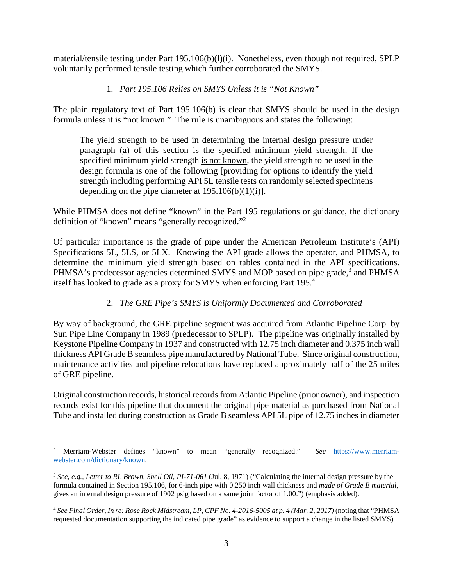material/tensile testing under Part  $195.106(b)(l)(i)$ . Nonetheless, even though not required, SPLP voluntarily performed tensile testing which further corroborated the SMYS.

#### 1. *Part 195.106 Relies on SMYS Unless it is "Not Known"*

 The plain regulatory text of Part 195.106(b) is clear that SMYS should be used in the design formula unless it is "not known." The rule is unambiguous and states the following:

 The yield strength to be used in determining the internal design pressure under paragraph (a) of this section is the specified minimum yield strength. If the specified minimum yield strength is not known, the yield strength to be used in the design formula is one of the following [providing for options to identify the yield strength including performing API 5L tensile tests on randomly selected specimens depending on the pipe diameter at  $195.106(b)(1)(i)$ .

 While PHMSA does not define "known" in the Part 195 regulations or guidance, the dictionary definition of "known" means "generally [recognized."](#page-13-0)<sup>2</sup>

 Of particular importance is the grade of pipe under the American Petroleum Institute's (API) Specifications 5L, 5LS, or 5LX. Knowing the API grade allows the operator, and PHMSA, to determine the minimum yield strength based on tables contained in the API specifications. PHMSA's predecessor agencies determined SMYS and MOP based on pipe grade,<sup>[3](#page-13-0)</sup> and PHMSA itself has looked to grade as a proxy for SMYS when enforcing Part [195.](#page-13-0)<sup>4</sup>

#### 2. *The GRE Pipe's SMYS is Uniformly Documented and Corroborated*

 By way of background, the GRE pipeline segment was acquired from Atlantic Pipeline Corp. by Sun Pipe Line Company in 1989 (predecessor to SPLP). The pipeline was originally installed by Keystone Pipeline Company in 1937 and constructed with 12.75 inch diameter and 0.375 inch wall thickness API Grade B seamless pipe manufactured by National Tube. Since original construction, maintenance activities and pipeline relocations have replaced approximately half of the 25 miles of GRE pipeline.

 Original construction records, historical records from Atlantic Pipeline (prior owner), and inspection records exist for this pipeline that document the original pipe material as purchased from National Tube and installed during construction as Grade B seamless API 5L pipe of 12.75 inches in diameter

<sup>&</sup>lt;sup>2</sup> Merriam-Webster to mean "generally recognized." *See* <https://www.merriam>[webster.com/dictionary/known](https://webster.com/dictionary/known).

 [3](#page-13-0) *See, e.g.*, *Letter to RL Brown, Shell Oil, PI-71-061* (Jul. 8, 1971) ("Calculating the internal design pressure by the formula contained in Section 195.106, for 6-inch pipe with 0.250 inch wall thickness and *made of Grade B material*, gives an internal design pressure of 1902 psig based on a same joint factor of 1.00.") (emphasis added).

<sup>&</sup>lt;sup>[4](#page-13-0)</sup> See Final Order, In re: Rose Rock Midstream, LP, CPF No. 4-2016-5005 at p. 4 (Mar. 2, 2017) (noting that "PHMSA requested documentation supporting the indicated pipe grade" as evidence to support a change in the listed SMYS)*.*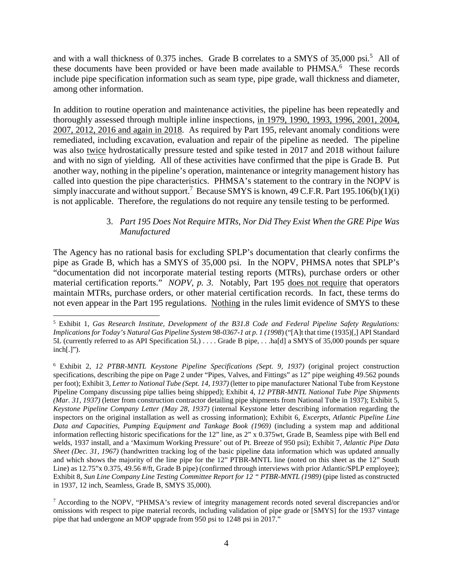and with a wall thickness of [0.375](#page-13-0) inches. Grade B correlates to a SMYS of 35,000 psi.<sup>5</sup> All of these documents have been provided or have been made available to PHMSA.<sup>6</sup> These records include pipe specification information such as seam type, pipe grade, wall thickness and diameter, among other information.

 In addition to routine operation and maintenance activities, the pipeline has been repeatedly and thoroughly assessed through multiple inline inspections, in 1979, 1990, 1993, 1996, 2001, 2004, 2007, 2012, 2016 and again in 2018. As required by Part 195, relevant anomaly conditions were remediated, including excavation, evaluation and repair of the pipeline as needed. The pipeline was also twice hydrostatically pressure tested and spike tested in 2017 and 2018 without failure and with no sign of yielding. All of these activities have confirmed that the pipe is Grade B. Put another way, nothing in the pipeline's operation, maintenance or integrity management history has called into question the pipe characteristics. PHMSA's statement to the contrary in the NOPV is simply inaccurate and without support.<sup>7</sup> Because SMYS is known, 49 C.F.R. Part 195.106(b)(1)(i) is not applicable. Therefore, the regulations do not require any tensile testing to be performed.

#### 3. *Part 195 Does Not Require MTRs, Nor Did They Exist When the GRE Pipe Was Manufactured*

 The Agency has no rational basis for excluding SPLP's documentation that clearly confirms the pipe as Grade B, which has a SMYS of 35,000 psi. In the NOPV, PHMSA notes that SPLP's "documentation did not incorporate material testing reports (MTRs), purchase orders or other material certification reports." *NOPV, p. 3*. Notably, Part 195 does not require that operators maintain MTRs, purchase orders, or other material certification records. In fact, these terms do not even appear in the Part 195 regulations. Nothing in the rules limit evidence of SMYS to these

 5 Exhibit 1, *Gas Research Institute, Development of the B31.8 Code and Federal Pipeline Safety Regulations: Implications for Today's Natural Gas Pipeline System 98-0367-1 at p. 1 (1998*) ("[A]t that time (1935)[,] API Standard 5L (currently referred to as API Specification 5L) . . . . Grade B pipe, . . .ha[d] a SMYS of 35,000 pounds per square inch[.]").

 6 Exhibit 2, *12 PTBR-MNTL Keystone Pipeline Specifications (Sept. 9, 1937)* (original project construction specifications, describing the pipe on Page 2 under "Pipes, Valves, and Fittings" as 12" pipe weighing 49.562 pounds per foot); Exhibit 3, *Letter to National Tube (Sept. 14, 1937)* (letter to pipe manufacturer National Tube from Keystone Pipeline Company discussing pipe tallies being shipped); Exhibit 4, *12 PTBR-MNTL National Tube Pipe Shipments (Mar. 31, 1937)* (letter from construction contractor detailing pipe shipments from National Tube in 1937); Exhibit 5,  *Keystone Pipeline Company Letter (May 28, 1937)* (internal Keystone letter describing information regarding the inspectors on the original installation as well as crossing information); Exhibit 6, *Excerpts, Atlantic Pipeline Line*  Data and Capacities, Pumping Equipment and Tankage Book (1969) (including a system map and additional information reflecting historic specifications for the 12" line, as 2" x 0.375wt, Grade B, Seamless pipe with Bell end welds, 1937 install, and a 'Maximum Working Pressure' out of Pt. Breeze of 950 psi); Exhibit 7, *Atlantic Pipe Data Sheet (Dec. 31, 1967)* (handwritten tracking log of the basic pipeline data information which was updated annually and which shows the majority of the line pipe for the 12" PTBR-MNTL line (noted on this sheet as the 12" South Line) as  $12.75$ "x  $0.375$ ,  $49.56$  #/ft, Grade B pipe) (confirmed through interviews with prior Atlantic/SPLP employee);  Exhibit 8, *Sun Line Company Line Testing Committee Report for 12 " PTBR-MNTL (1989)* (pipe listed as constructed in 1937, 12 inch, Seamless, Grade B, SMYS 35,000).

 $7$  According to the NOPV, "PHMSA's review of integrity management records noted several discrepancies and/or omissions with respect to pipe material records, including validation of pipe grade or [SMYS] for the 1937 vintage pipe that had undergone an MOP upgrade from 950 psi to 1248 psi in 2017."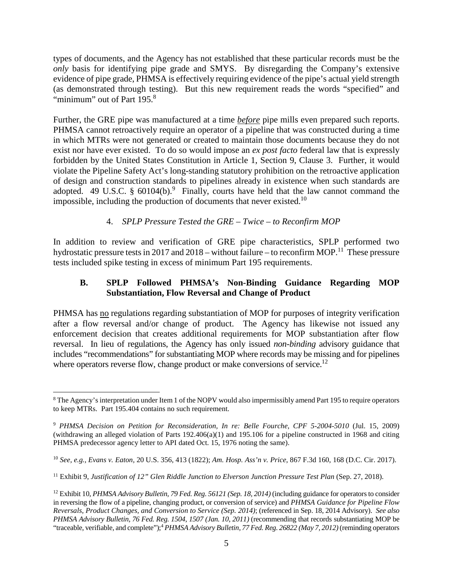<span id="page-4-0"></span> types of documents, and the Agency has not established that these particular records must be the *only* basis for identifying pipe grade and SMYS. By disregarding the Company's extensive evidence of pipe grade, PHMSA is effectively requiring evidence of the pipe's actual yield strength (as demonstrated through testing). But this new requirement reads the words "specified" and "minimum" out of Part 195.<sup>8</sup>

 Further, the GRE pipe was manufactured at a time *before* pipe mills even prepared such reports. PHMSA cannot retroactively require an operator of a pipeline that was constructed during a time in which MTRs were not generated or created to maintain those documents because they do not exist nor have ever existed. To do so would impose an *ex post facto* federal law that is expressly forbidden by the United States Constitution in Article 1, Section 9, Clause 3. Further, it would violate the Pipeline Safety Act's long-standing statutory prohibition on the retroactive application of design and construction standards to pipelines already in existence when such standards are adopted. 49 U.S.C. §  $60104(b)$ .<sup>9</sup> Finally, courts have held that the law cannot command the impossible, including the production of documents that never existed.<sup>10</sup>

#### 4. *SPLP Pressure Tested the GRE – Twice – to Reconfirm MOP*

 In addition to review and verification of GRE pipe characteristics, SPLP performed two hydrostatic pressure tests in 2017 and 2018 – without failure – to reconfirm MOP.<sup>11</sup> These pressure tests included spike testing in excess of minimum Part 195 requirements.

#### **B. SPLP Followed PHMSA's Non-Binding Guidance Regarding MOP Substantiation, Flow Reversal and Change of Product**

PHMSA has no regulations regarding substantiation of MOP for purposes of integrity verification after a flow reversal and/or change of product. The Agency has likewise not issued any enforcement decision that creates additional requirements for MOP substantiation after flow reversal. In lieu of regulations, the Agency has only issued *non-binding* advisory guidance that includes "recommendations" for substantiating MOP where records may be missing and for pipelines where operators reverse flow, change product or make conversions of service.<sup>12</sup>

<sup>&</sup>lt;sup>8</sup> The Agency's interpretation under Item 1 of the NOPV would also impermissibly amend Part 195 to require operators to keep MTRs. Part 195.404 contains no such requirement.

<sup>&</sup>lt;sup>9</sup> PHMSA Decision on Petition for Reconsideration, In re: Belle Fourche, CPF 5-2004-5010 (Jul. 15, 2009) (withdrawing an alleged violation of Parts 192.406(a)(1) and 195.106 for a pipeline constructed in 1968 and citing PHMSA predecessor agency letter to API dated Oct. 15, 1976 noting the same).

 <sup>10</sup>*See, e.g., Evans v. Eaton,* 20 U.S. 356, 413 (1822); *Am. Hosp. Ass'n v. Price*, 867 F.3d 160, 168 (D.C. Cir. 2017).

<sup>&</sup>lt;sup>11</sup> Exhibit 9, *Justification of 12" Glen Riddle Junction to Elverson Junction Pressure Test Plan (Sep. 27, 2018).* 

<sup>&</sup>lt;sup>12</sup> Exhibit 10, *PHMSA Advisory Bulletin, 79 Fed. Reg. 56121 (Sep. 18, 2014)* (including guidance for operators to consider in reversing the flow of a pipeline, changing product, or conversion of service) and *PHMSA Guidance for Pipeline Flow Reversals, Product Changes, and Conversion to Service (Sep. 2014)*; (referenced in Sep. 18, 2014 Advisory). *See also*  PHMSA Advisory Bulletin, 76 Fed. Reg. 1504, 1507 (Jan. 10, 2011) (recommending that records substantiating MOP be "traceable, verifiable, and complete");<sup>4</sup> *PHMSA Advisory Bulletin, 77 Fed. Reg. 26822 (May 7, 2012)* (reminding operators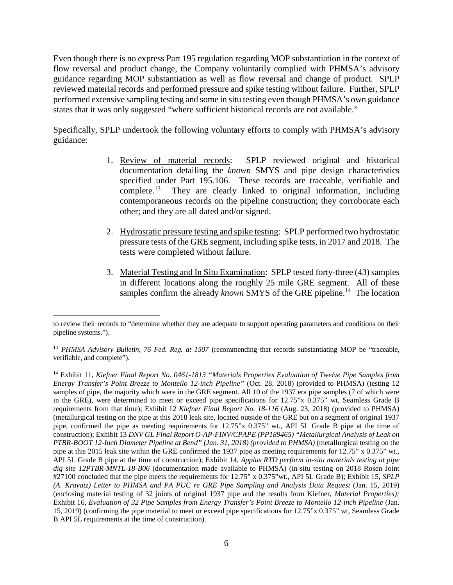<span id="page-5-0"></span> Even though there is no express Part 195 regulation regarding MOP substantiation in the context of flow reversal and product change, the Company voluntarily complied with PHMSA's advisory guidance regarding MOP substantiation as well as flow reversal and change of product. SPLP reviewed material records and performed pressure and spike testing without failure. Further, SPLP performed extensive sampling testing and some in situ testing even though PHMSA's own guidance states that it was only suggested "where sufficient historical records are not available."

 Specifically, SPLP undertook the following voluntary efforts to comply with PHMSA's advisory guidance:

- 1. Review of material records: documentation detailing the *known* SMYS and pipe design characteristics specified under Part 195.106. These records are traceable, verifiable and [complete.](https://complete.13)<sup>13</sup> They are clearly linked to original information, including contemporaneous records on the pipeline construction; they corroborate each SPLP reviewed original and historical other; and they are all dated and/or signed.
- 2. Hydrostatic pressure testing and spike testing: SPLP performed two hydrostatic pressure tests of the GRE segment, including spike tests, in 2017 and 2018. The tests were completed without failure.
- 3. Material Testing and In Situ Examination: SPLP tested forty-three (43) samples in different locations along the roughly 25 mile GRE segment. All of these samples confirm the already *known* SMYS of the GRE pipeline.<sup>14</sup> The location

 to review their records to "determine whether they are adequate to support operating parameters and conditions on their pipeline systems.").

<sup>&</sup>lt;sup>13</sup> PHMSA Advisory Bulletin, 76 Fed. Reg. at 1507 (recommending that records substantiating MOP be "traceable, verifiable, and complete").

 14 Exhibit 11, *Kiefner Final Report No. 0461-1813 "Materials Properties Evaluation of Twelve Pipe Samples from Energy Transfer's Point Breeze to Montello 12-inch Pipeline"* (Oct. 28, 2018) (provided to PHMSA) (testing 12 samples of pipe, the majority which were in the GRE segment. All 10 of the 1937 era pipe samples (7 of which were in the GRE), were determined to meet or exceed pipe specifications for 12.75"x 0.375" wt, Seamless Grade B requirements from that time); Exhibit 12 *Kiefner Final Report No. 18-116* (Aug. 23, 2018) (provided to PHMSA) (metallurgical testing on the pipe at this 2018 leak site, located outside of the GRE but on a segment of original 1937 pipe, confirmed the pipe as meeting requirements for 12.75"x 0.375" wt., API 5L Grade B pipe at the time of  construction); Exhibit 13 *DNV GL Final Report O-AP-FINV/CPAPE (PP189465) "Metallurgical Analysis of Leak on*  PTBR-BOOT 12-Inch Diameter Pipeline at Bend" (Jan. 31, 2018) (provided to PHMSA) (metallurgical testing on the pipe at this 2015 leak site within the GRE confirmed the 1937 pipe as meeting requirements for 12.75" x 0.375" wt., API 5L Grade B pipe at the time of construction); Exhibit 14, *Applus RTD perform in-situ materials testing at pipe dig site 12PTBR-MNTL-18-B06* (documentation made available to PHMSA) (in-situ testing on 2018 Rosen Joint #27100 concluded that the pipe meets the requirements for 12.75" x 0.375"wt., API 5L Grade B); Exhibit 15, *SPLP (A. Kravatz) Letter to PHMSA and PA PUC re GRE Pipe Sampling and Analysis Data Request* (Jan. 15, 2019) (enclosing material testing of 32 joints of original 1937 pipe and the results from Kiefner, *Material Properties);*  Exhibit 16, *Evaluation of 32 Pipe Samples from Energy Transfer's Point Breeze to Montello 12-inch Pipeline (Jan.*  15, 2019) (confirming the pipe material to meet or exceed pipe specifications for 12.75"x 0.375" wt, Seamless Grade B API 5L requirements at the time of construction).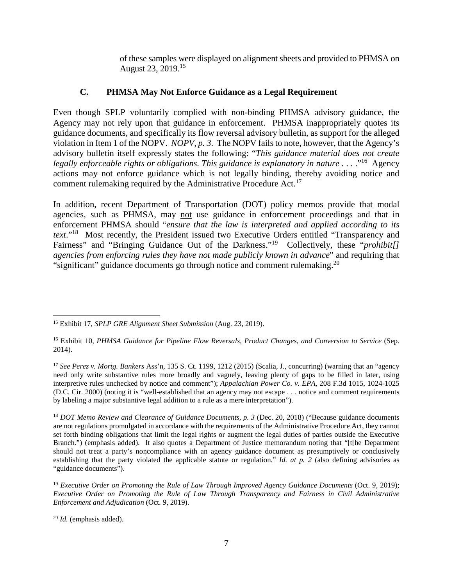of these samples were displayed on alignment sheets and provided to PHMSA on August 23, 2019.<sup>15</sup>

#### <span id="page-6-0"></span>**C. PHMSA May Not Enforce Guidance as a Legal Requirement**

 Even though SPLP voluntarily complied with non-binding PHMSA advisory guidance, the Agency may not rely upon that guidance in enforcement. PHMSA inappropriately quotes its guidance documents, and specifically its flow reversal advisory bulletin, as support for the alleged violation in Item 1 of the NOPV. *NOPV, p. 3*. The NOPV fails to note, however, that the Agency's advisory bulletin itself expressly states the following: "*This guidance material does not create*  legally enforceable rights or obligations. This guidance is explanatory in nature . . . .<sup>"16</sup> Agency actions may not enforce guidance which is not legally binding, thereby avoiding notice and comment rulemaking required by the Administrative Procedure Act.<sup>17</sup>

 In addition, recent Department of Transportation (DOT) policy memos provide that modal agencies, such as PHMSA, may not use guidance in enforcement proceedings and that in enforcement PHMSA should "*ensure that the law is interpreted and applied according to its text*."18 Most recently, the President issued two Executive Orders entitled "Transparency and Fairness" and "Bringing Guidance Out of the Darkness."<sup>19</sup> Collectively, these "*prohibit*[]  *agencies from enforcing rules they have not made publicly known in advance*" and requiring that "significant" guidance documents go through notice and comment [rulemaking.](https://rulemaking.20)<sup>20</sup>

 15 Exhibit 17, *SPLP GRE Alignment Sheet Submission* (Aug. 23, 2019).

 16 Exhibit 10, *PHMSA Guidance for Pipeline Flow Reversals, Product Changes, and Conversion to Service* (Sep. 2014).

<sup>&</sup>lt;sup>17</sup> See Perez v. Mortg. Bankers Ass'n, 135 S. Ct. 1199, 1212 (2015) (Scalia, J., concurring) (warning that an "agency need only write substantive rules more broadly and vaguely, leaving plenty of gaps to be filled in later, using interpretive rules unchecked by notice and comment"); *Appalachian Power Co. v. EPA*, 208 F.3d 1015, 1024-1025 (D.C. Cir. 2000) (noting it is "well-established that an agency may not escape . . . notice and comment requirements by labeling a major substantive legal addition to a rule as a mere interpretation").

<sup>&</sup>lt;sup>18</sup> DOT Memo Review and Clearance of Guidance Documents, p. 3 (Dec. 20, 2018) ("Because guidance documents" are not regulations promulgated in accordance with the requirements of the Administrative Procedure Act, they cannot set forth binding obligations that limit the legal rights or augment the legal duties of parties outside the Executive Branch.") (emphasis added). It also quotes a Department of Justice memorandum noting that "[t[he Department should not treat a party's noncompliance with an agency guidance document as presumptively or conclusively establishing that the party violated the applicable statute or regulation." *Id. at p. 2* (also defining advisories as "guidance documents").

<sup>&</sup>lt;sup>19</sup> Executive Order on Promoting the Rule of Law Through Improved Agency Guidance Documents (Oct. 9, 2019);  *Executive Order on Promoting the Rule of Law Through Transparency and Fairness in Civil Administrative Enforcement and Adjudication* (Oct. 9, 2019).

 <sup>20</sup>*Id.* (emphasis added).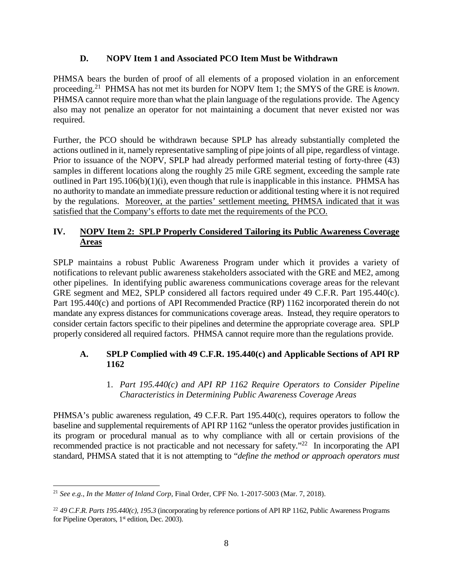#### **D. NOPV Item 1 and Associated PCO Item Must be Withdrawn**

<span id="page-7-0"></span> PHMSA bears the burden of proof of all elements of a proposed violation in an enforcement [proceeding.](https://proceeding.21)21 PHMSA has not met its burden for NOPV Item 1; the SMYS of the GRE is *known*. PHMSA cannot require more than what the plain language of the regulations provide. The Agency also may not penalize an operator for not maintaining a document that never existed nor was required.

 Further, the PCO should be withdrawn because SPLP has already substantially completed the actions outlined in it, namely representative sampling of pipe joints of all pipe, regardless of vintage. Prior to issuance of the NOPV, SPLP had already performed material testing of forty-three (43) samples in different locations along the roughly 25 mile GRE segment, exceeding the sample rate outlined in Part 195.106(b)(1)(i), even though that rule is inapplicable in this instance. PHMSA has no authority to mandate an immediate pressure reduction or additional testing where it is not required by the regulations. Moreover, at the parties' settlement meeting, PHMSA indicated that it was satisfied that the Company's efforts to date met the requirements of the PCO.

#### **IV. NOPV Item 2: SPLP Properly Considered Tailoring its Public Awareness Coverage Areas**

 SPLP maintains a robust Public Awareness Program under which it provides a variety of notifications to relevant public awareness stakeholders associated with the GRE and ME2, among other pipelines. In identifying public awareness communications coverage areas for the relevant GRE segment and ME2, SPLP considered all factors required under 49 C.F.R. Part 195.440(c). Part 195.440(c) and portions of API Recommended Practice (RP) 1162 incorporated therein do not mandate any express distances for communications coverage areas. Instead, they require operators to consider certain factors specific to their pipelines and determine the appropriate coverage area. SPLP properly considered all required factors. PHMSA cannot require more than the regulations provide.

#### **A. SPLP Complied with 49 C.F.R. 195.440(c) and Applicable Sections of API RP 1162**

#### 1. *Part 195.440(c) and API RP 1162 Require Operators to Consider Pipeline Characteristics in Determining Public Awareness Coverage Areas*

 PHMSA's public awareness regulation, 49 C.F.R. Part 195.440(c), requires operators to follow the baseline and supplemental requirements of API RP 1162 "unless the operator provides justification in its program or procedural manual as to why compliance with all or certain provisions of the recommended practice is not practicable and not necessary for safety."<sup>22</sup> In incorporating the API standard, PHMSA stated that it is not attempting to "*define the method or approach operators must* 

 <sup>21</sup>*See e.g., In the Matter of Inland Corp,* Final Order, CPF No. 1-2017-5003 (Mar. 7, 2018).

 <sup>22</sup>*49 C.F.R. Parts 195.440(c), 195.3* (incorporating by reference portions of API RP 1162, Public Awareness Programs for Pipeline Operators,  $1<sup>st</sup>$  edition, Dec. 2003).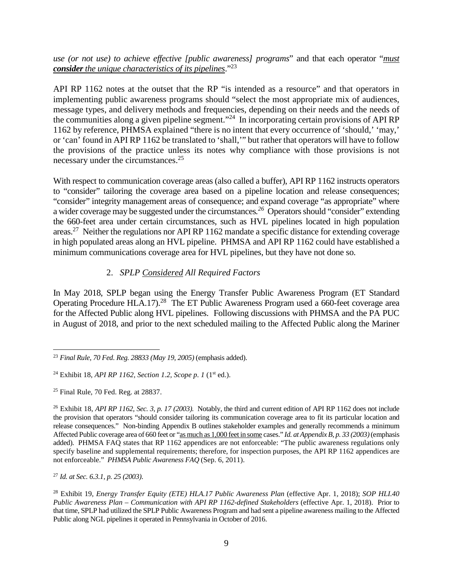<span id="page-8-0"></span> *use (or not use) to achieve effective [public awareness] programs*" and that each operator "*must consider the unique characteristics of its pipelines*."23

 API RP 1162 notes at the outset that the RP "is intended as a resource" and that operators in implementing public awareness programs should "select the most appropriate mix of audiences, message types, and delivery methods and frequencies, depending on their needs and the needs of the communities along a given pipeline segment."<sup>24</sup> In incorporating certain provisions of API RP 1162 by reference, PHMSA explained "there is no intent that every occurrence of 'should,' 'may,' or 'can' found in API RP 1162 be translated to 'shall,'" but rather that operators will have to follow the provisions of the practice unless its notes why compliance with those provisions is not necessary under the [circumstances.](https://circumstances.25)<sup>25</sup>

 With respect to communication coverage areas (also called a buffer), API RP 1162 instructs operators to "consider" tailoring the coverage area based on a pipeline location and release consequences; "consider" integrity management areas of consequence; and expand coverage "as appropriate" where a wider coverage may be suggested under the [circumstances](https://circumstances.26).<sup>26</sup> Operators should "consider" extending the 660-feet area under certain circumstances, such as HVL pipelines located in high population areas.<sup>27</sup> Neither the regulations nor API RP 1162 mandate a specific distance for extending coverage in high populated areas along an HVL pipeline. PHMSA and API RP 1162 could have established a minimum communications coverage area for HVL pipelines, but they have not done so.

#### 2. *SPLP Considered All Required Factors*

 In May 2018, SPLP began using the Energy Transfer Public Awareness Program (ET Standard Operating Procedure HLA.17).<sup>28</sup> The ET Public Awareness Program used a 660-feet coverage area for the Affected Public along HVL pipelines. Following discussions with PHMSA and the PA PUC in August of 2018, and prior to the next scheduled mailing to the Affected Public along the Mariner

 <sup>27</sup>*Id. at Sec. 6.3.1, p. 25 (2003)*.

 <sup>23</sup>*Final Rule, 70 Fed. Reg. 28833 (May 19, 2005)* (emphasis added).

 24 Exhibit 18, *API RP 1162, Section 1.2, Scope p. 1* (1st ed.).

 $25$  Final Rule, 70 Fed. Reg. at 28837.

 26 Exhibit 18, *API RP 1162, Sec. 3, p. 17 (2003).* Notably, the third and current edition of API RP 1162 does not include the provision that operators "should consider tailoring its communication coverage area to fit its particular location and release consequences." Non-binding Appendix B outlines stakeholder examples and generally recommends a minimum Affected Public coverage area of 660 feet or "as much as 1,000 feet in some cases." *Id. at Appendix B, p. 33 (2003)* (emphasis added). PHMSA FAQ states that RP 1162 appendices are not enforceable: "The public awareness regulations only specify baseline and supplemental requirements; therefore, for inspection purposes, the API RP 1162 appendices are  not enforceable." *PHMSA Public Awareness FAQ* (Sep. 6, 2011).

<sup>&</sup>lt;sup>28</sup> Exhibit 19, *Energy Transfer Equity (ETE) HLA.17 Public Awareness Plan (effective Apr. 1, 2018); <i>SOP HLI.40* Public Awareness Plan – Communication with API RP 1162-defined Stakeholders (effective Apr. 1, 2018). Prior to that time, SPLP had utilized the SPLP Public Awareness Program and had sent a pipeline awareness mailing to the Affected Public along NGL pipelines it operated in Pennsylvania in October of 2016.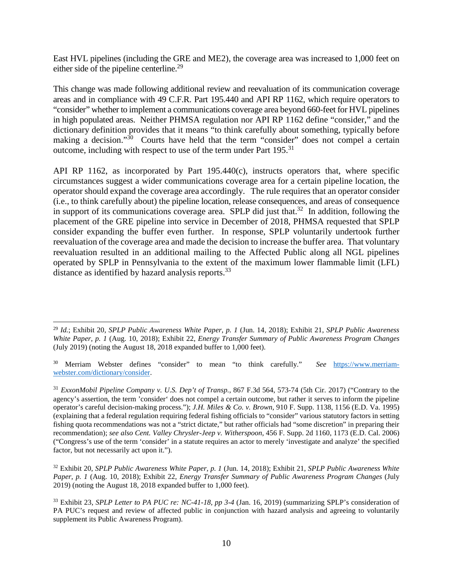<span id="page-9-0"></span> East HVL pipelines (including the GRE and ME2), the coverage area was increased to 1,000 feet on either side of the pipeline centerline.<sup>29</sup>

 This change was made following additional review and reevaluation of its communication coverage areas and in compliance with 49 C.F.R. Part 195.440 and API RP 1162, which require operators to "consider" whether to implement a communications coverage area beyond 660-feet for HVL pipelines in high populated areas. Neither PHMSA regulation nor API RP 1162 define "consider," and the dictionary definition provides that it means "to think carefully about something, typically before making a decision."<sup>30</sup> Courts have held that the term "consider" does not compel a certain outcome, including with respect to use of the term under Part 195.<sup>31</sup>

 API RP 1162, as incorporated by Part 195.440(c), instructs operators that, where specific circumstances suggest a wider communications coverage area for a certain pipeline location, the operator should expand the coverage area accordingly. The rule requires that an operator consider (i.e., to think carefully about) the pipeline location, release consequences, and areas of consequence in support of its communications coverage area. SPLP did just that.<sup>32</sup> In addition, following the placement of the GRE pipeline into service in December of 2018, PHMSA requested that SPLP consider expanding the buffer even further. In response, SPLP voluntarily undertook further reevaluation of the coverage area and made the decision to increase the buffer area. That voluntary reevaluation resulted in an additional mailing to the Affected Public along all NGL pipelines operated by SPLP in Pennsylvania to the extent of the maximum lower flammable limit (LFL) distance as identified by hazard analysis reports.<sup>33</sup>

 <sup>29</sup>*Id.*; Exhibit 20, *SPLP Public Awareness White Paper, p. 1* (Jun. 14, 2018); Exhibit 21, *SPLP Public Awareness White Paper, p. 1* (Aug. 10, 2018); Exhibit 22, *Energy Transfer Summary of Public Awareness Program Changes*  (July 2019) (noting the August 18, 2018 expanded buffer to 1,000 feet).

 30 Merriam Webster defines "consider" to mean "to think carefully." *See* <https://www.merriam>webster.com/dictionary/consider.

 [webster.com/dictionary/consider.](https://webster.com/dictionary/consider) 31 *ExxonMobil Pipeline Company v. U.S. Dep't of Transp.*, 867 F.3d 564, 573-74 (5th Cir. 2017) ("Contrary to the agency's assertion, the term 'consider' does not compel a certain outcome, but rather it serves to inform the pipeline operator's careful decision-making process."); *J.H. Miles & Co. v. Brown*, 910 F. Supp. 1138, 1156 (E.D. Va. 1995) (explaining that a federal regulation requiring federal fishing officials to "consider" various statutory factors in setting fishing quota recommendations was not a "strict dictate," but rather officials had "some discretion" in preparing their  recommendation); *see also Cent. Valley Chrysler-Jeep v. Witherspoon*, 456 F. Supp. 2d 1160, 1173 (E.D. Cal. 2006) ("Congress's use of the term 'consider' in a statute requires an actor to merely 'investigate and analyze' the specified factor, but not necessarily act upon it.").

 32 Exhibit 20, *SPLP Public Awareness White Paper, p. 1* (Jun. 14, 2018); Exhibit 21, *SPLP Public Awareness White Paper, p. 1* (Aug. 10, 2018); Exhibit 22, *Energy Transfer Summary of Public Awareness Program Changes* (July 2019) (noting the August 18, 2018 expanded buffer to 1,000 feet).

 33 Exhibit 23, *SPLP Letter to PA PUC re: NC-41-18, pp 3-4* (Jan. 16, 2019) (summarizing SPLP's consideration of PA PUC's request and review of affected public in conjunction with hazard analysis and agreeing to voluntarily supplement its Public Awareness Program).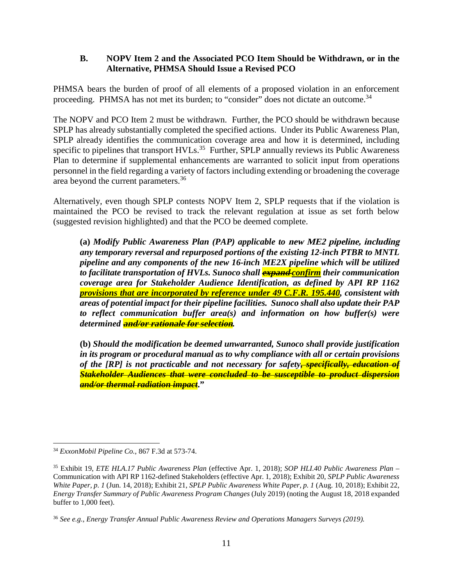#### <span id="page-10-0"></span> **B. NOPV Item 2 and the Associated PCO Item Should be Withdrawn, or in the Alternative, PHMSA Should Issue a Revised PCO**

 PHMSA bears the burden of proof of all elements of a proposed violation in an enforcement proceeding. PHMSA has not met its burden; to "consider" does not dictate an [outcome.](https://outcome.34)<sup>34</sup>

 The NOPV and PCO Item 2 must be withdrawn. Further, the PCO should be withdrawn because SPLP has already substantially completed the specified actions. Under its Public Awareness Plan, SPLP already identifies the communication coverage area and how it is determined, including specific to pipelines that transport HVLs.<sup>35</sup> Further, SPLP annually reviews its Public Awareness Plan to determine if supplemental enhancements are warranted to solicit input from operations personnel in the field regarding a variety of factors including extending or broadening the coverage area beyond the current [parameters.](https://parameters.36)<sup>36</sup>

 Alternatively, even though SPLP contests NOPV Item 2, SPLP requests that if the violation is maintained the PCO be revised to track the relevant regulation at issue as set forth below (suggested revision highlighted) and that the PCO be deemed complete.

 **(a)** *Modify Public Awareness Plan (PAP) applicable to* **new ME2 pipeline, including**   *any temporary reversal and repurposed portions of the existing 12-inch PTBR to MNTL pipeline and any components of the new 16-inch ME2X pipeline which will be utilized to facilitate transportation of HVLs. Sunoco shall* **expand** *confirm their communication provisions that are incorporated by reference under 49 C.F.R. 195.440, consistent with areas of potential impact for their pipeline facilities. Sunoco shall also update their PAP to reflect communication buffer area(s) and information on how buffer(s) were coverage area for Stakeholder Audience Identification, as defined by API RP 1162 determined* **and/or rationale for selection***.* 

 **(b)** *Should the modification be deemed unwarranted, Sunoco shall provide justification in its program or procedural manual as to why compliance with all or certain provisions of the [RP] is not practicable and not necessary for safety, specifically, education of Stakeholder Audiences that were concluded to be susceptible to product dispersion and/or thermal radiation impact***."** 

 <sup>34</sup>*ExxonMobil Pipeline Co.*, 867 F.3d at 573-74.

 35 Exhibit 19, *ETE HLA.17 Public Awareness Plan* (effective Apr. 1, 2018); *SOP HLI.40 Public Awareness Plan* – Communication with API RP 1162-defined Stakeholders (effective Apr. 1, 2018); Exhibit 20, *SPLP Public Awareness White Paper, p. 1* (Jun. 14, 2018); Exhibit 21, *SPLP Public Awareness White Paper, p. 1* (Aug. 10, 2018); Exhibit 22,  *Energy Transfer Summary of Public Awareness Program Changes* (July 2019) (noting the August 18, 2018 expanded buffer to 1,000 feet).

 <sup>36</sup>*See e.g., Energy Transfer Annual Public Awareness Review and Operations Managers Surveys (2019).*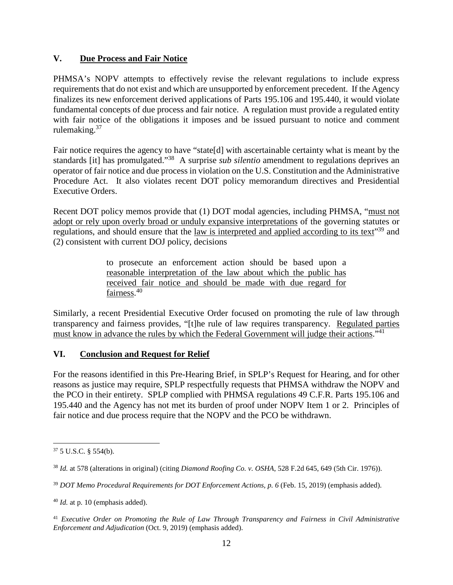#### <span id="page-11-0"></span> **V. Due Process and Fair Notice**

 PHMSA's NOPV attempts to effectively revise the relevant regulations to include express requirements that do not exist and which are unsupported by enforcement precedent. If the Agency finalizes its new enforcement derived applications of Parts 195.106 and 195.440, it would violate fundamental concepts of due process and fair notice. A regulation must provide a regulated entity with fair notice of the obligations it imposes and be issued pursuant to notice and comment [rulemaking.](https://rulemaking.37)<sup>37</sup>

 standards [it] has promulgated."38 A surprise *sub silentio* amendment to regulations deprives an operator of fair notice and due process in violation on the U.S. Constitution and the Administrative Procedure Act. It also violates recent DOT policy memorandum directives and Presidential Fair notice requires the agency to have "state[d] with ascertainable certainty what is meant by the Executive Orders.

Recent DOT policy memos provide that (1) DOT modal agencies, including PHMSA, "must not adopt or rely upon overly broad or unduly expansive interpretations of the governing statutes or regulations, and should ensure that the <u>law is interpreted and applied according to its text</u><sup>39</sup> and (2) consistent with current DOJ policy, decisions

> to prosecute an enforcement action should be based upon a reasonable interpretation of the law about which the public has received fair notice and should be made with due regard for [fairness.](https://fairness.40)<sup>40</sup>

 Similarly, a recent Presidential Executive Order focused on promoting the rule of law through transparency and fairness provides, "[t]he rule of law requires transparency. Regulated parties must know in advance the rules by which the Federal Government will judge their actions."<sup>41</sup>

#### **VI. Conclusion and Request for Relief**

 For the reasons identified in this Pre-Hearing Brief, in SPLP's Request for Hearing, and for other reasons as justice may require, SPLP respectfully requests that PHMSA withdraw the NOPV and the PCO in their entirety. SPLP complied with PHMSA regulations 49 C.F.R. Parts 195.106 and 195.440 and the Agency has not met its burden of proof under NOPV Item 1 or 2. Principles of fair notice and due process require that the NOPV and the PCO be withdrawn.

 $375$  U.S.C. § 554(b).

 <sup>38</sup>*Id.* at 578 (alterations in original) (citing *Diamond Roofing Co. v. OSHA*, 528 F.2d 645, 649 (5th Cir. 1976)).

<sup>&</sup>lt;sup>39</sup> DOT Memo Procedural Requirements for DOT Enforcement Actions, p. 6 (Feb. 15, 2019) (emphasis added).

 <sup>40</sup>*Id.* at p. 10 (emphasis added).

<sup>&</sup>lt;sup>41</sup> Executive Order on Promoting the Rule of Law Through Transparency and Fairness in Civil Administrative *Enforcement and Adjudication* (Oct. 9, 2019) (emphasis added).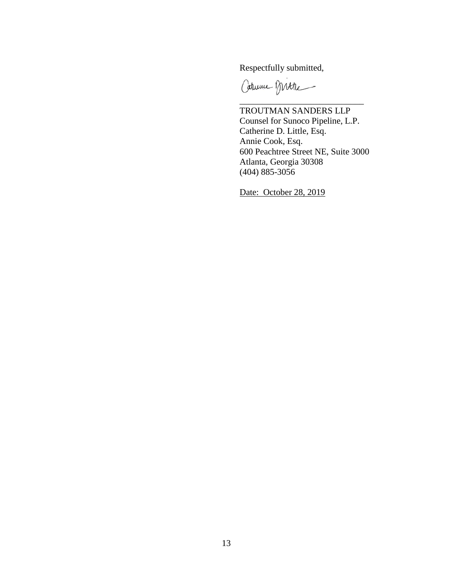Respectfully submitted,

Caturine Mitte

 TROUTMAN SANDERS LLP Counsel for Sunoco Pipeline, L.P. Catherine D. Little, Esq. Annie Cook, Esq. 600 Peachtree Street NE, Suite 3000 Atlanta, Georgia 30308 (404) 885-3056

\_\_\_\_\_\_\_\_\_\_\_\_\_\_\_\_\_\_\_\_\_\_\_\_\_\_\_\_

Date: October 28, 2019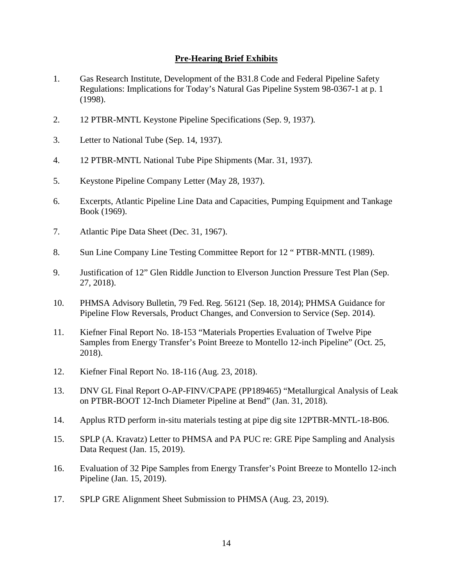#### **Pre-Hearing Brief Exhibits**

- <span id="page-13-0"></span>1. Gas Research Institute, Development of the B31.8 Code and Federal Pipeline Safety Regulations: Implications for Today's Natural Gas Pipeline System 98-0367-1 at p. 1 (1998).
- 2. 12 PTBR-MNTL Keystone Pipeline Specifications (Sep. 9, 1937)*.*
- 3. Letter to National Tube (Sep. 14, 1937)*.*
- 4. 12 PTBR-MNTL National Tube Pipe Shipments (Mar. 31, 1937)*.*
- 5. Keystone Pipeline Company Letter (May 28, 1937).
- 6. Excerpts, Atlantic Pipeline Line Data and Capacities, Pumping Equipment and Tankage Book (1969).
- 7. Atlantic Pipe Data Sheet (Dec. 31, 1967).
- 8. Sun Line Company Line Testing Committee Report for 12 " PTBR-MNTL (1989).
- 9. Justification of 12" Glen Riddle Junction to Elverson Junction Pressure Test Plan (Sep. 27, 2018).
- $10.$ PHMSA Advisory Bulletin, 79 Fed. Reg. 56121 (Sep. 18, 2014); PHMSA Guidance for Pipeline Flow Reversals, Product Changes, and Conversion to Service (Sep. 2014).
- $11.$ Kiefner Final Report No. 18-153 "Materials Properties Evaluation of Twelve Pipe Samples from Energy Transfer's Point Breeze to Montello 12-inch Pipeline" (Oct. 25, 2018).
- 12. Kiefner Final Report No. 18-116 (Aug. 23, 2018).
- 13. DNV GL Final Report O-AP-FINV/CPAPE (PP189465) "Metallurgical Analysis of Leak on PTBR-BOOT 12-Inch Diameter Pipeline at Bend" (Jan. 31, 2018)*.*
- 14. Applus RTD perform in-situ materials testing at pipe dig site 12PTBR-MNTL-18-B06.
- 15. SPLP (A. Kravatz) Letter to PHMSA and PA PUC re: GRE Pipe Sampling and Analysis Data Request (Jan. 15, 2019).
- 16. Evaluation of 32 Pipe Samples from Energy Transfer's Point Breeze to Montello 12-inch Pipeline (Jan. 15, 2019).
- 17. SPLP GRE Alignment Sheet Submission to PHMSA (Aug. 23, 2019).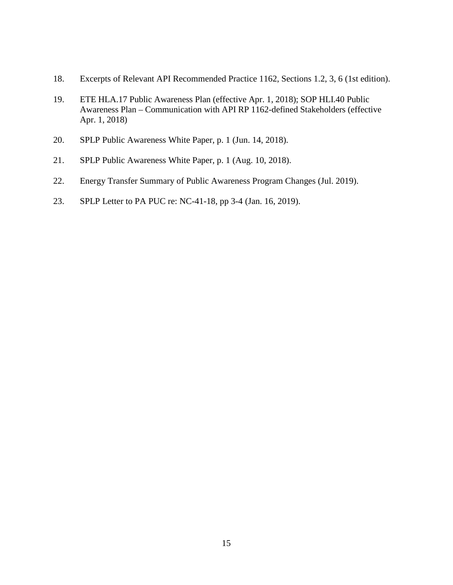- 18. Excerpts of Relevant API Recommended Practice 1162, Sections 1.2, 3, 6 (1st edition).
- 19. ETE HLA.17 Public Awareness Plan (effective Apr. 1, 2018); SOP HLI.40 Public Awareness Plan – Communication with API RP 1162-defined Stakeholders (effective Apr. 1, 2018)
- 20. SPLP Public Awareness White Paper, p. 1 (Jun. 14, 2018).
- 21. SPLP Public Awareness White Paper, p. 1 (Aug. 10, 2018).
- 22. Energy Transfer Summary of Public Awareness Program Changes (Jul. 2019).
- 23. 23. SPLP Letter to PA PUC re: NC-41-18, pp 3-4 (Jan. 16, 2019).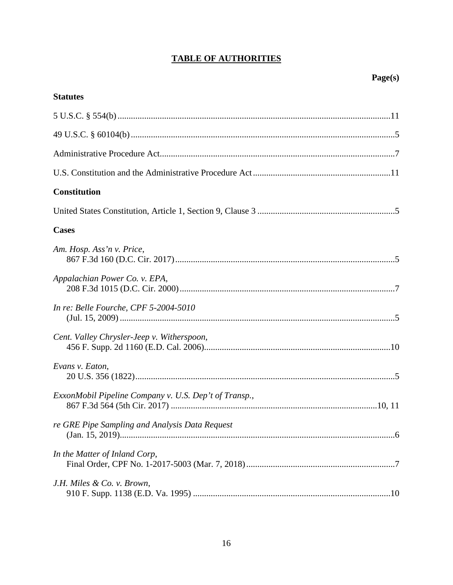# **TABLE OF AUTHORITIES**

| <b>Statutes</b>                                       |
|-------------------------------------------------------|
|                                                       |
|                                                       |
|                                                       |
|                                                       |
| <b>Constitution</b>                                   |
|                                                       |
| <b>Cases</b>                                          |
| Am. Hosp. Ass'n v. Price,                             |
| Appalachian Power Co. v. EPA,                         |
| In re: Belle Fourche, CPF 5-2004-5010                 |
| Cent. Valley Chrysler-Jeep v. Witherspoon,            |
| Evans v. Eaton,                                       |
| ExxonMobil Pipeline Company v. U.S. Dep't of Transp., |
| re GRE Pipe Sampling and Analysis Data Request        |
| In the Matter of Inland Corp,                         |
| J.H. Miles & Co. v. Brown,                            |